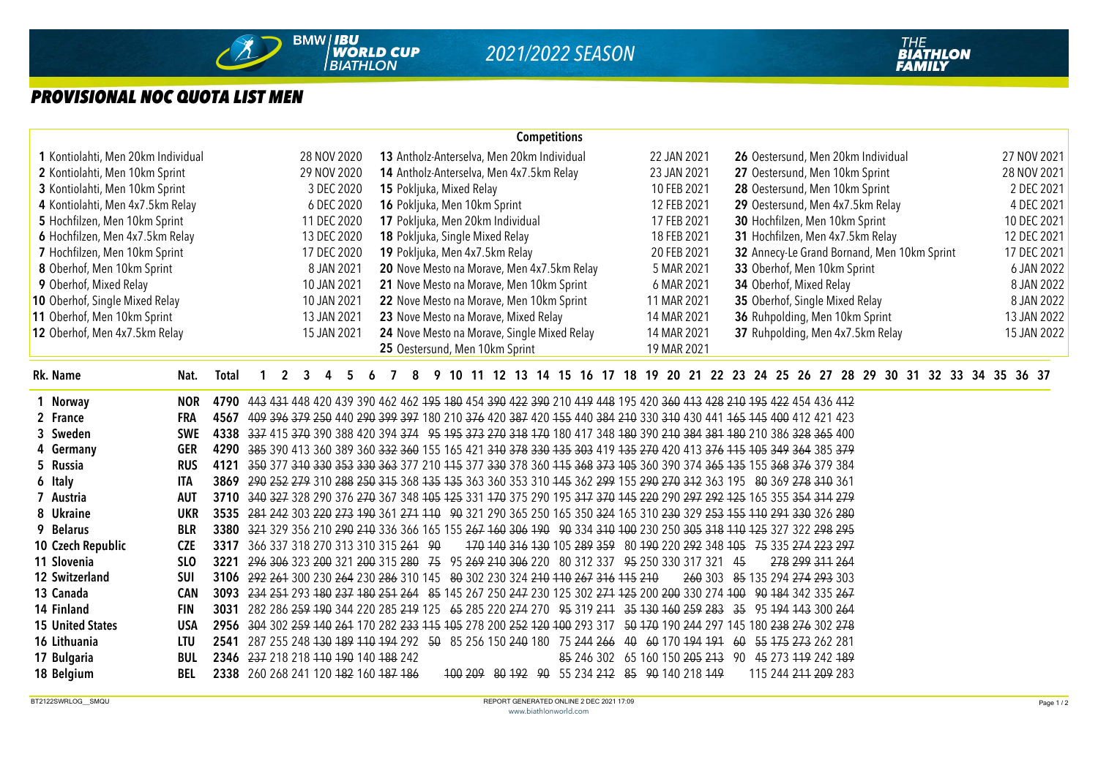

## *PROVISIONAL NOC QUOTA LIST MEN*

|                                    |            |                                                                                                                      |             |                                                                                                                     |                                            |                            |    |    |   |   |  |                                      |  |  |  |             | <b>Competitions</b>                                                   |                                    |  |  |                                                     |                                |  |  |  |                         |  |                             |                                  |                                             |  |  |  |  |                                                                                       |             |
|------------------------------------|------------|----------------------------------------------------------------------------------------------------------------------|-------------|---------------------------------------------------------------------------------------------------------------------|--------------------------------------------|----------------------------|----|----|---|---|--|--------------------------------------|--|--|--|-------------|-----------------------------------------------------------------------|------------------------------------|--|--|-----------------------------------------------------|--------------------------------|--|--|--|-------------------------|--|-----------------------------|----------------------------------|---------------------------------------------|--|--|--|--|---------------------------------------------------------------------------------------|-------------|
| 1 Kontiolahti, Men 20km Individual |            |                                                                                                                      |             |                                                                                                                     | 13 Antholz-Anterselva, Men 20km Individual |                            |    |    |   |   |  |                                      |  |  |  | 22 JAN 2021 |                                                                       | 26 Oestersund, Men 20km Individual |  |  |                                                     |                                |  |  |  |                         |  | 27 NOV 2021                 |                                  |                                             |  |  |  |  |                                                                                       |             |
| 2 Kontiolahti, Men 10km Sprint     |            |                                                                                                                      |             |                                                                                                                     |                                            | 28 NOV 2020<br>29 NOV 2020 |    |    |   |   |  |                                      |  |  |  |             | 14 Antholz-Anterselva, Men 4x7.5km Relay                              |                                    |  |  | 23 JAN 2021                                         |                                |  |  |  |                         |  |                             | 27 Oestersund, Men 10km Sprint   |                                             |  |  |  |  |                                                                                       | 28 NOV 2021 |
| 3 Kontiolahti, Men 10km Sprint     |            |                                                                                                                      |             |                                                                                                                     |                                            | 3 DEC 2020                 |    |    |   |   |  | 15 Pokljuka, Mixed Relay             |  |  |  |             |                                                                       |                                    |  |  | 10 FEB 2021                                         |                                |  |  |  |                         |  |                             | 28 Oestersund, Men 10km Sprint   |                                             |  |  |  |  |                                                                                       | 2 DEC 2021  |
| 4 Kontiolahti, Men 4x7.5km Relay   |            |                                                                                                                      |             |                                                                                                                     |                                            | 6 DEC 2020                 |    |    |   |   |  | 16 Pokljuka, Men 10km Sprint         |  |  |  |             |                                                                       |                                    |  |  | 12 FEB 2021                                         |                                |  |  |  |                         |  |                             | 29 Oestersund, Men 4x7.5km Relay |                                             |  |  |  |  |                                                                                       | 4 DEC 2021  |
| 5 Hochfilzen, Men 10km Sprint      |            |                                                                                                                      |             |                                                                                                                     |                                            | 11 DEC 2020                |    |    |   |   |  | 17 Pokljuka, Men 20km Individual     |  |  |  |             |                                                                       |                                    |  |  | 17 FEB 2021                                         |                                |  |  |  |                         |  |                             | 30 Hochfilzen, Men 10km Sprint   |                                             |  |  |  |  |                                                                                       | 10 DEC 2021 |
| 6 Hochfilzen, Men 4x7.5km Relay    |            |                                                                                                                      |             |                                                                                                                     |                                            | 13 DEC 2020                |    |    |   |   |  | 18 Pokljuka, Single Mixed Relay      |  |  |  |             |                                                                       |                                    |  |  | 18 FEB 2021                                         |                                |  |  |  |                         |  |                             | 31 Hochfilzen, Men 4x7.5km Relay |                                             |  |  |  |  |                                                                                       | 12 DEC 2021 |
| 7 Hochfilzen, Men 10km Sprint      |            |                                                                                                                      |             |                                                                                                                     |                                            | 17 DEC 2020                |    |    |   |   |  | 19 Pokljuka, Men 4x7.5km Relay       |  |  |  |             |                                                                       |                                    |  |  | 20 FEB 2021                                         |                                |  |  |  |                         |  |                             |                                  | 32 Annecy-Le Grand Bornand, Men 10km Sprint |  |  |  |  |                                                                                       | 17 DEC 2021 |
| 8 Oberhof, Men 10km Sprint         |            |                                                                                                                      |             |                                                                                                                     |                                            | 8 JAN 2021                 |    |    |   |   |  |                                      |  |  |  |             | 20 Nove Mesto na Morave, Men 4x7.5km Relay                            |                                    |  |  | 5 MAR 2021                                          |                                |  |  |  |                         |  | 33 Oberhof, Men 10km Sprint |                                  |                                             |  |  |  |  |                                                                                       | 6 JAN 2022  |
| 9 Oberhof, Mixed Relay             |            |                                                                                                                      |             |                                                                                                                     |                                            | 10 JAN 2021                |    |    |   |   |  |                                      |  |  |  |             | 21 Nove Mesto na Morave, Men 10km Sprint                              |                                    |  |  | 6 MAR 2021                                          |                                |  |  |  | 34 Oberhof, Mixed Relay |  |                             |                                  |                                             |  |  |  |  |                                                                                       | 8 JAN 2022  |
| 10 Oberhof, Single Mixed Relay     |            |                                                                                                                      |             |                                                                                                                     |                                            | 10 JAN 2021                |    |    |   |   |  |                                      |  |  |  |             | 22 Nove Mesto na Morave, Men 10km Sprint                              |                                    |  |  | 11 MAR 2021                                         |                                |  |  |  |                         |  |                             | 35 Oberhof, Single Mixed Relay   |                                             |  |  |  |  |                                                                                       | 8 JAN 2022  |
| 11 Oberhof, Men 10km Sprint        |            |                                                                                                                      |             |                                                                                                                     |                                            | 13 JAN 2021                |    |    |   |   |  | 23 Nove Mesto na Morave, Mixed Relay |  |  |  |             |                                                                       |                                    |  |  | 14 MAR 2021                                         |                                |  |  |  |                         |  |                             | 36 Ruhpolding, Men 10km Sprint   |                                             |  |  |  |  |                                                                                       | 13 JAN 2022 |
| 12 Oberhof, Men 4x7.5km Relay      |            |                                                                                                                      |             |                                                                                                                     |                                            | 15 JAN 2021                |    |    |   |   |  |                                      |  |  |  |             | 24 Nove Mesto na Morave, Single Mixed Relay                           |                                    |  |  | 14 MAR 2021                                         |                                |  |  |  |                         |  |                             |                                  | 37 Ruhpolding, Men 4x7.5km Relay            |  |  |  |  |                                                                                       | 15 JAN 2022 |
|                                    |            |                                                                                                                      |             |                                                                                                                     |                                            |                            |    |    |   |   |  | 25 Oestersund, Men 10km Sprint       |  |  |  |             |                                                                       |                                    |  |  | 19 MAR 2021                                         |                                |  |  |  |                         |  |                             |                                  |                                             |  |  |  |  |                                                                                       |             |
| Rk. Name                           | Nat.       | Total                                                                                                                | $\mathbf 1$ | $\overline{2}$                                                                                                      | $\overline{3}$                             | 4                          | 5. | -6 | 7 | 8 |  |                                      |  |  |  |             |                                                                       |                                    |  |  |                                                     |                                |  |  |  |                         |  |                             |                                  |                                             |  |  |  |  | 9 10 11 12 13 14 15 16 17 18 19 20 21 22 23 24 25 26 27 28 29 30 31 32 33 34 35 36 37 |             |
| 1 Norway                           | <b>NOR</b> | 4790 443 431 448 420 439 390 462 462 475 480 454 390 422 390 210 419 448 195 420 360 413 428 210 195 422 454 436 412 |             |                                                                                                                     |                                            |                            |    |    |   |   |  |                                      |  |  |  |             |                                                                       |                                    |  |  |                                                     |                                |  |  |  |                         |  |                             |                                  |                                             |  |  |  |  |                                                                                       |             |
| 2 France                           | FRA        | 4567 409 396 379 250 440 290 399 397 180 210 376 420 387 420 455 440 384 210 330 310 430 441 465 445 400 412 421 423 |             |                                                                                                                     |                                            |                            |    |    |   |   |  |                                      |  |  |  |             |                                                                       |                                    |  |  |                                                     |                                |  |  |  |                         |  |                             |                                  |                                             |  |  |  |  |                                                                                       |             |
| 3 Sweden                           | <b>SWE</b> | 4338 337 415 370 390 388 420 394 374 95 195 373 270 318 170 180 417 348 180 390 210 384 381 180 210 386 328 365 400  |             |                                                                                                                     |                                            |                            |    |    |   |   |  |                                      |  |  |  |             |                                                                       |                                    |  |  |                                                     |                                |  |  |  |                         |  |                             |                                  |                                             |  |  |  |  |                                                                                       |             |
| 4 Germany                          | <b>GER</b> | 4290 385 390 413 360 389 360 332 360 155 165 421 310 378 330 135 303 419 135 270 420 413 376 115 105 349 364 385 379 |             |                                                                                                                     |                                            |                            |    |    |   |   |  |                                      |  |  |  |             |                                                                       |                                    |  |  |                                                     |                                |  |  |  |                         |  |                             |                                  |                                             |  |  |  |  |                                                                                       |             |
| 5 Russia                           | <b>RUS</b> | 4121                                                                                                                 |             | 350 377 340 330 353 330 363 377 210 445 377 330 378 360 445 368 373 405 360 370 374 365 435 155 368 376 379 384     |                                            |                            |    |    |   |   |  |                                      |  |  |  |             |                                                                       |                                    |  |  |                                                     |                                |  |  |  |                         |  |                             |                                  |                                             |  |  |  |  |                                                                                       |             |
| 6 Italy                            | <b>ITA</b> | 3869                                                                                                                 |             | 290 252 279 310 288 250 315 368 135 135 363 360 353 310 145 362 299 155 290 270 312 363 195 80 369 278 310 361      |                                            |                            |    |    |   |   |  |                                      |  |  |  |             |                                                                       |                                    |  |  |                                                     |                                |  |  |  |                         |  |                             |                                  |                                             |  |  |  |  |                                                                                       |             |
| 7 Austria                          | <b>AUT</b> | 3710 340 327 328 290 376 270 367 348 405 425 331 470 375 290 195 347 370 445 220 290 297 292 425 165 355 354 314 279 |             |                                                                                                                     |                                            |                            |    |    |   |   |  |                                      |  |  |  |             |                                                                       |                                    |  |  |                                                     |                                |  |  |  |                         |  |                             |                                  |                                             |  |  |  |  |                                                                                       |             |
| 8 Ukraine                          | <b>UKR</b> | 3535 281 242 303 220 273 190 361 271 110 90 321 290 365 250 165 350 324 165 310 230 329 253 155 110 291 330 326 280  |             |                                                                                                                     |                                            |                            |    |    |   |   |  |                                      |  |  |  |             |                                                                       |                                    |  |  |                                                     |                                |  |  |  |                         |  |                             |                                  |                                             |  |  |  |  |                                                                                       |             |
| 9 Belarus                          | <b>BLR</b> | 3380 324 329 356 210 290 210 336 366 165 155 267 160 306 190 90 334 310 100 230 250 305 318 110 125 327 322 298 295  |             |                                                                                                                     |                                            |                            |    |    |   |   |  |                                      |  |  |  |             |                                                                       |                                    |  |  |                                                     |                                |  |  |  |                         |  |                             |                                  |                                             |  |  |  |  |                                                                                       |             |
| 10 Czech Republic                  | <b>CZE</b> | 3317                                                                                                                 |             | 366 337 318 270 313 310 315 261 90                                                                                  |                                            |                            |    |    |   |   |  |                                      |  |  |  |             | 170 140 316 130 105 289 359 80 190 220 292 348 105 75 335 274 223 297 |                                    |  |  |                                                     |                                |  |  |  |                         |  |                             |                                  |                                             |  |  |  |  |                                                                                       |             |
| 11 Slovenia                        | <b>SLO</b> | 3221                                                                                                                 |             | 296 306 323 200 321 200 315 280 75 95 269 210 306 220 80 312 337 95 250 330 317 321 45                              |                                            |                            |    |    |   |   |  |                                      |  |  |  |             |                                                                       |                                    |  |  |                                                     |                                |  |  |  | 278 299 311 264         |  |                             |                                  |                                             |  |  |  |  |                                                                                       |             |
| 12 Switzerland                     | <b>SUI</b> | 3106 292 261 300 230 264 230 286 310 145 80 302 230 324 210 110 267 316 115 210                                      |             |                                                                                                                     |                                            |                            |    |    |   |   |  |                                      |  |  |  |             |                                                                       |                                    |  |  |                                                     | 260 303 85 135 294 274 293 303 |  |  |  |                         |  |                             |                                  |                                             |  |  |  |  |                                                                                       |             |
| 13 Canada                          | <b>CAN</b> | 3093 234 254 293 180 237 180 251 264 85 145 267 250 247 230 125 302 274 125 200 200 330 274 100 90 184 342 335 267   |             |                                                                                                                     |                                            |                            |    |    |   |   |  |                                      |  |  |  |             |                                                                       |                                    |  |  |                                                     |                                |  |  |  |                         |  |                             |                                  |                                             |  |  |  |  |                                                                                       |             |
| 14 Finland                         | <b>FIN</b> | 3031                                                                                                                 |             | 282 286 259 190 344 220 285 219 125 65 285 220 274 270 95 319 211 35 130 160 259 283 35 95 194 143 300 264          |                                            |                            |    |    |   |   |  |                                      |  |  |  |             |                                                                       |                                    |  |  |                                                     |                                |  |  |  |                         |  |                             |                                  |                                             |  |  |  |  |                                                                                       |             |
| <b>15 United States</b>            | <b>USA</b> | 2956 304 302 259 440 264 170 282 233 415 405 278 200 252 420 400 293 317 50 470 190 244 297 145 180 238 276 302 278  |             |                                                                                                                     |                                            |                            |    |    |   |   |  |                                      |  |  |  |             |                                                                       |                                    |  |  |                                                     |                                |  |  |  |                         |  |                             |                                  |                                             |  |  |  |  |                                                                                       |             |
| 16 Lithuania                       | <b>LTU</b> | 2541                                                                                                                 |             | 287 255 248 <del>130 189 110 194</del> 292 50 85 256 150 240 180 75 244 266 40 60 170 194 191 60 55 175 273 262 281 |                                            |                            |    |    |   |   |  |                                      |  |  |  |             |                                                                       |                                    |  |  |                                                     |                                |  |  |  |                         |  |                             |                                  |                                             |  |  |  |  |                                                                                       |             |
| 17 Bulgaria                        | <b>BUL</b> | 2346 237 218 218 110 190 140 188 242                                                                                 |             |                                                                                                                     |                                            |                            |    |    |   |   |  |                                      |  |  |  |             |                                                                       |                                    |  |  | 85 246 302 65 160 150 205 213 90 45 273 119 242 189 |                                |  |  |  |                         |  |                             |                                  |                                             |  |  |  |  |                                                                                       |             |
| 18 Belgium                         | BEL        | 2338 260 268 241 120 482 160 487 486                                                                                 |             |                                                                                                                     |                                            |                            |    |    |   |   |  |                                      |  |  |  |             | 100 209 80 192 90 55 234 212 85 90 140 218 149                        |                                    |  |  |                                                     |                                |  |  |  | 115 244 211 209 283     |  |                             |                                  |                                             |  |  |  |  |                                                                                       |             |